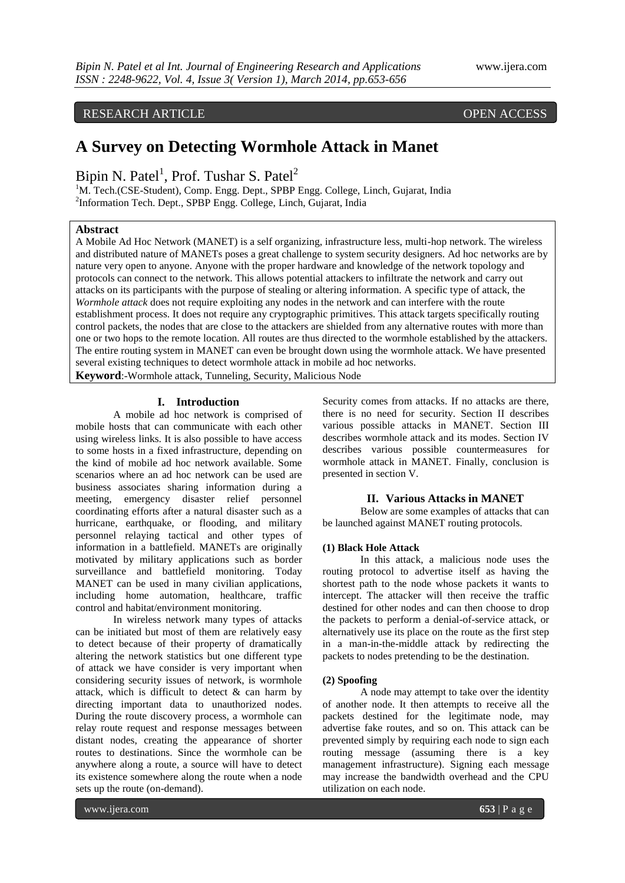## RESEARCH ARTICLE OPEN ACCESS

# **A Survey on Detecting Wormhole Attack in Manet**

Bipin N. Patel<sup>1</sup>, Prof. Tushar S. Patel<sup>2</sup>

<sup>1</sup>M. Tech.(CSE-Student), Comp. Engg. Dept., SPBP Engg. College, Linch, Gujarat, India 2 Information Tech. Dept., SPBP Engg. College, Linch, Gujarat, India

#### **Abstract**

A Mobile Ad Hoc Network (MANET) is a self organizing, infrastructure less, multi-hop network. The wireless and distributed nature of MANETs poses a great challenge to system security designers. Ad hoc networks are by nature very open to anyone. Anyone with the proper hardware and knowledge of the network topology and protocols can connect to the network. This allows potential attackers to infiltrate the network and carry out attacks on its participants with the purpose of stealing or altering information. A specific type of attack, the *Wormhole attack* does not require exploiting any nodes in the network and can interfere with the route establishment process. It does not require any cryptographic primitives. This attack targets specifically routing control packets, the nodes that are close to the attackers are shielded from any alternative routes with more than one or two hops to the remote location. All routes are thus directed to the wormhole established by the attackers. The entire routing system in MANET can even be brought down using the wormhole attack. We have presented several existing techniques to detect wormhole attack in mobile ad hoc networks.

**Keyword**:-Wormhole attack, Tunneling, Security, Malicious Node

#### **I. Introduction**

A mobile ad hoc network is comprised of mobile hosts that can communicate with each other using wireless links. It is also possible to have access to some hosts in a fixed infrastructure, depending on the kind of mobile ad hoc network available. Some scenarios where an ad hoc network can be used are business associates sharing information during a meeting, emergency disaster relief personnel coordinating efforts after a natural disaster such as a hurricane, earthquake, or flooding, and military personnel relaying tactical and other types of information in a battlefield. MANETs are originally motivated by military applications such as border surveillance and battlefield monitoring. Today MANET can be used in many civilian applications, including home automation, healthcare, traffic control and habitat/environment monitoring.

In wireless network many types of attacks can be initiated but most of them are relatively easy to detect because of their property of dramatically altering the network statistics but one different type of attack we have consider is very important when considering security issues of network, is wormhole attack, which is difficult to detect  $\&$  can harm by directing important data to unauthorized nodes. During the route discovery process, a wormhole can relay route request and response messages between distant nodes, creating the appearance of shorter routes to destinations. Since the wormhole can be anywhere along a route, a source will have to detect its existence somewhere along the route when a node sets up the route (on-demand).

Security comes from attacks. If no attacks are there, there is no need for security. Section II describes various possible attacks in MANET. Section III describes wormhole attack and its modes. Section IV describes various possible countermeasures for wormhole attack in MANET. Finally, conclusion is presented in section V.

#### **II. Various Attacks in MANET**

Below are some examples of attacks that can be launched against MANET routing protocols.

#### **(1) Black Hole Attack**

In this attack, a malicious node uses the routing protocol to advertise itself as having the shortest path to the node whose packets it wants to intercept. The attacker will then receive the traffic destined for other nodes and can then choose to drop the packets to perform a denial-of-service attack, or alternatively use its place on the route as the first step in a man-in-the-middle attack by redirecting the packets to nodes pretending to be the destination.

#### **(2) Spoofing**

A node may attempt to take over the identity of another node. It then attempts to receive all the packets destined for the legitimate node, may advertise fake routes, and so on. This attack can be prevented simply by requiring each node to sign each routing message (assuming there is a key management infrastructure). Signing each message may increase the bandwidth overhead and the CPU utilization on each node.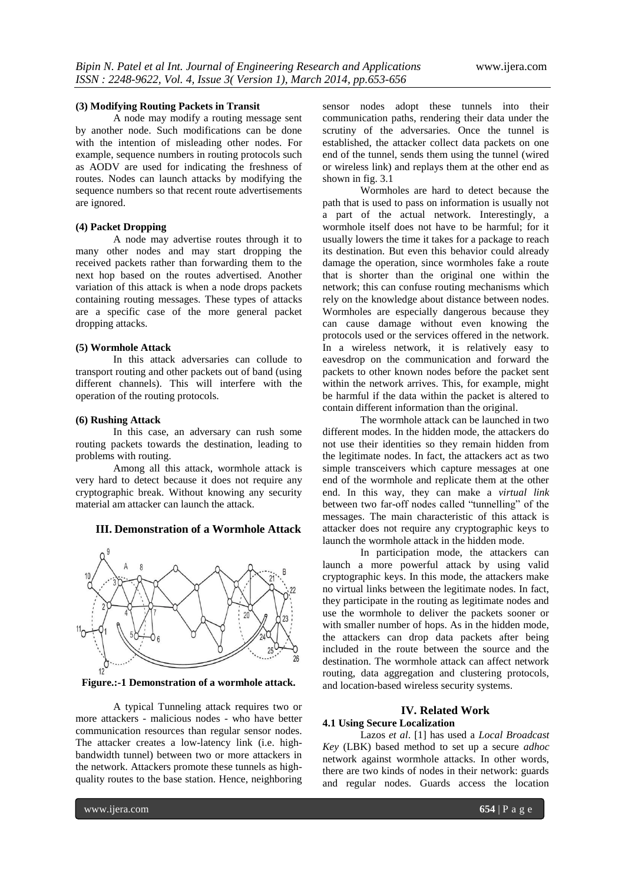#### **(3) Modifying Routing Packets in Transit**

A node may modify a routing message sent by another node. Such modifications can be done with the intention of misleading other nodes. For example, sequence numbers in routing protocols such as AODV are used for indicating the freshness of routes. Nodes can launch attacks by modifying the sequence numbers so that recent route advertisements are ignored.

#### **(4) Packet Dropping**

A node may advertise routes through it to many other nodes and may start dropping the received packets rather than forwarding them to the next hop based on the routes advertised. Another variation of this attack is when a node drops packets containing routing messages. These types of attacks are a specific case of the more general packet dropping attacks.

### **(5) Wormhole Attack**

In this attack adversaries can collude to transport routing and other packets out of band (using different channels). This will interfere with the operation of the routing protocols.

#### **(6) Rushing Attack**

In this case, an adversary can rush some routing packets towards the destination, leading to problems with routing.

Among all this attack, wormhole attack is very hard to detect because it does not require any cryptographic break. Without knowing any security material am attacker can launch the attack.

#### **III. Demonstration of a Wormhole Attack**



**Figure.:-1 Demonstration of a wormhole attack.**

A typical Tunneling attack requires two or more attackers - malicious nodes - who have better communication resources than regular sensor nodes. The attacker creates a low-latency link (i.e. highbandwidth tunnel) between two or more attackers in the network. Attackers promote these tunnels as highquality routes to the base station. Hence, neighboring sensor nodes adopt these tunnels into their communication paths, rendering their data under the scrutiny of the adversaries. Once the tunnel is established, the attacker collect data packets on one end of the tunnel, sends them using the tunnel (wired or wireless link) and replays them at the other end as shown in fig. 3.1

Wormholes are hard to detect because the path that is used to pass on information is usually not a part of the actual network. Interestingly, a wormhole itself does not have to be harmful; for it usually lowers the time it takes for a package to reach its destination. But even this behavior could already damage the operation, since wormholes fake a route that is shorter than the original one within the network; this can confuse routing mechanisms which rely on the knowledge about distance between nodes. Wormholes are especially dangerous because they can cause damage without even knowing the protocols used or the services offered in the network. In a wireless network, it is relatively easy to eavesdrop on the communication and forward the packets to other known nodes before the packet sent within the network arrives. This, for example, might be harmful if the data within the packet is altered to contain different information than the original.

The wormhole attack can be launched in two different modes. In the hidden mode, the attackers do not use their identities so they remain hidden from the legitimate nodes. In fact, the attackers act as two simple transceivers which capture messages at one end of the wormhole and replicate them at the other end. In this way, they can make a *virtual link*  between two far-off nodes called "tunnelling" of the messages. The main characteristic of this attack is attacker does not require any cryptographic keys to launch the wormhole attack in the hidden mode.

In participation mode, the attackers can launch a more powerful attack by using valid cryptographic keys. In this mode, the attackers make no virtual links between the legitimate nodes. In fact, they participate in the routing as legitimate nodes and use the wormhole to deliver the packets sooner or with smaller number of hops. As in the hidden mode, the attackers can drop data packets after being included in the route between the source and the destination. The wormhole attack can affect network routing, data aggregation and clustering protocols, and location-based wireless security systems.

#### **IV. Related Work 4.1 Using Secure Localization**

Lazos *et al*. [1] has used a *Local Broadcast Key* (LBK) based method to set up a secure *adhoc*  network against wormhole attacks. In other words, there are two kinds of nodes in their network: guards and regular nodes. Guards access the location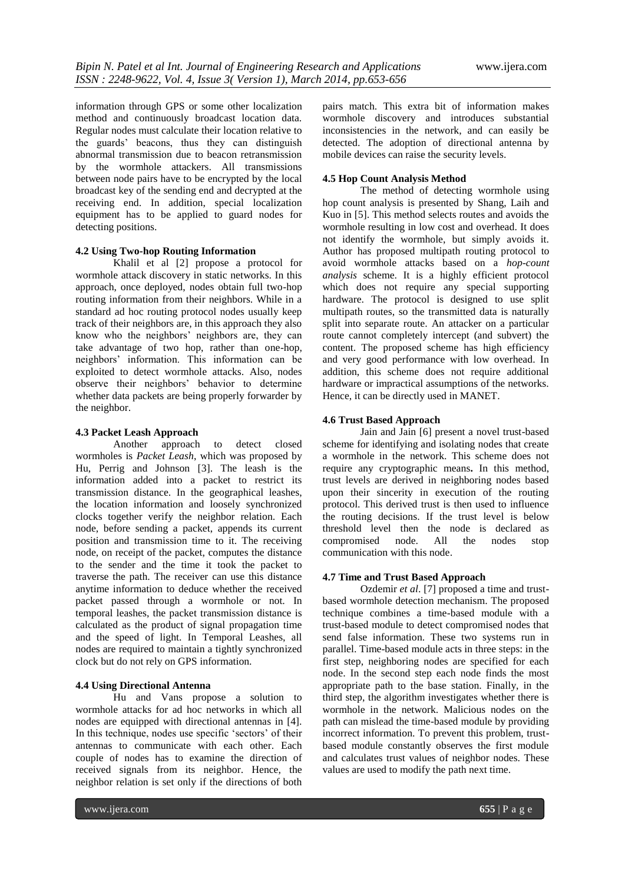information through GPS or some other localization method and continuously broadcast location data. Regular nodes must calculate their location relative to the guards" beacons, thus they can distinguish abnormal transmission due to beacon retransmission by the wormhole attackers. All transmissions between node pairs have to be encrypted by the local broadcast key of the sending end and decrypted at the receiving end. In addition, special localization equipment has to be applied to guard nodes for detecting positions.

#### **4.2 Using Two-hop Routing Information**

Khalil et al [2] propose a protocol for wormhole attack discovery in static networks. In this approach, once deployed, nodes obtain full two-hop routing information from their neighbors. While in a standard ad hoc routing protocol nodes usually keep track of their neighbors are, in this approach they also know who the neighbors' neighbors are, they can take advantage of two hop, rather than one-hop, neighbors" information. This information can be exploited to detect wormhole attacks. Also, nodes observe their neighbors" behavior to determine whether data packets are being properly forwarder by the neighbor.

#### **4.3 Packet Leash Approach**

Another approach to detect closed wormholes is *Packet Leash*, which was proposed by Hu, Perrig and Johnson [3]. The leash is the information added into a packet to restrict its transmission distance. In the geographical leashes, the location information and loosely synchronized clocks together verify the neighbor relation. Each node, before sending a packet, appends its current position and transmission time to it. The receiving node, on receipt of the packet, computes the distance to the sender and the time it took the packet to traverse the path. The receiver can use this distance anytime information to deduce whether the received packet passed through a wormhole or not. In temporal leashes, the packet transmission distance is calculated as the product of signal propagation time and the speed of light. In Temporal Leashes, all nodes are required to maintain a tightly synchronized clock but do not rely on GPS information.

#### **4.4 Using Directional Antenna**

Hu and Vans propose a solution to wormhole attacks for ad hoc networks in which all nodes are equipped with directional antennas in [4]. In this technique, nodes use specific 'sectors' of their antennas to communicate with each other. Each couple of nodes has to examine the direction of received signals from its neighbor. Hence, the neighbor relation is set only if the directions of both

pairs match. This extra bit of information makes wormhole discovery and introduces substantial inconsistencies in the network, and can easily be detected. The adoption of directional antenna by mobile devices can raise the security levels.

#### **4.5 Hop Count Analysis Method**

The method of detecting wormhole using hop count analysis is presented by Shang, Laih and Kuo in [5]. This method selects routes and avoids the wormhole resulting in low cost and overhead. It does not identify the wormhole, but simply avoids it. Author has proposed multipath routing protocol to avoid wormhole attacks based on a *hop-count analysis* scheme. It is a highly efficient protocol which does not require any special supporting hardware. The protocol is designed to use split multipath routes, so the transmitted data is naturally split into separate route. An attacker on a particular route cannot completely intercept (and subvert) the content. The proposed scheme has high efficiency and very good performance with low overhead. In addition, this scheme does not require additional hardware or impractical assumptions of the networks. Hence, it can be directly used in MANET.

#### **4.6 Trust Based Approach**

Jain and Jain [6] present a novel trust-based scheme for identifying and isolating nodes that create a wormhole in the network. This scheme does not require any cryptographic means**.** In this method, trust levels are derived in neighboring nodes based upon their sincerity in execution of the routing protocol. This derived trust is then used to influence the routing decisions. If the trust level is below threshold level then the node is declared as compromised node. All the nodes stop communication with this node.

#### **4.7 Time and Trust Based Approach**

Ozdemir *et al*. [7] proposed a time and trustbased wormhole detection mechanism. The proposed technique combines a time-based module with a trust-based module to detect compromised nodes that send false information. These two systems run in parallel. Time-based module acts in three steps: in the first step, neighboring nodes are specified for each node. In the second step each node finds the most appropriate path to the base station. Finally, in the third step, the algorithm investigates whether there is wormhole in the network. Malicious nodes on the path can mislead the time-based module by providing incorrect information. To prevent this problem, trustbased module constantly observes the first module and calculates trust values of neighbor nodes. These values are used to modify the path next time.